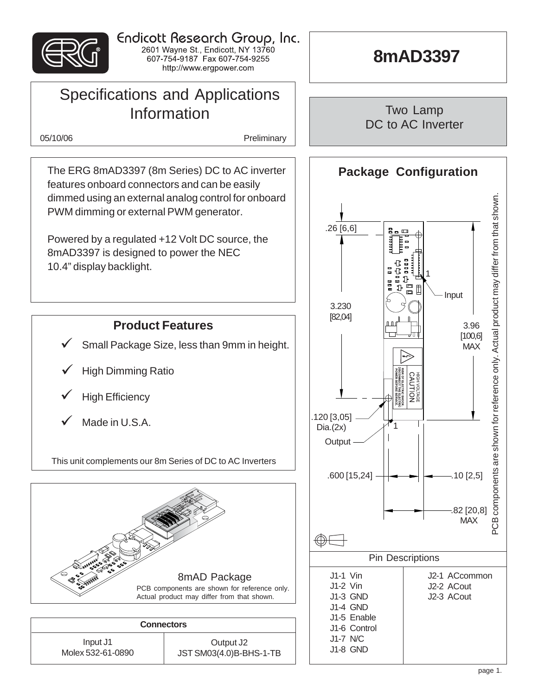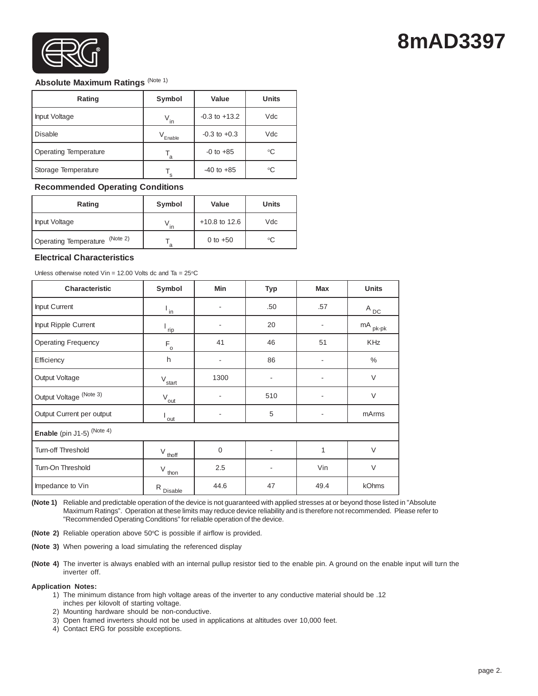

# **8mAD3397**

### **Absolute Maximum Ratings** (Note 1)

| Rating                | Symbol       | Value             | <b>Units</b> |
|-----------------------|--------------|-------------------|--------------|
| Input Voltage         | $V_{in}$     | $-0.3$ to $+13.2$ | Vdc          |
| l Disable             | $V_{Enable}$ | $-0.3$ to $+0.3$  | Vdc          |
| Operating Temperature | a            | $-0$ to $+85$     | °C           |
| Storage Temperature   | s            | $-40$ to $+85$    | °C           |

#### **Recommended Operating Conditions**

| Rating                            | Symbol | Value           | Units |
|-----------------------------------|--------|-----------------|-------|
| Input Voltage                     |        | $+10.8$ to 12.6 | Vdc   |
| (Note 2)<br>Operating Temperature | a      | 0 to $+50$      | °C    |

#### **Electrical Characteristics**

| Unless otherwise noted Vin = 12.00 Volts dc and Ta = $25^{\circ}$ C |  |  |
|---------------------------------------------------------------------|--|--|
|                                                                     |  |  |

| Characteristic                                        | Symbol<br><b>Min</b>                                       |             | Typ | <b>Max</b> | <b>Units</b>          |  |  |  |  |
|-------------------------------------------------------|------------------------------------------------------------|-------------|-----|------------|-----------------------|--|--|--|--|
| Input Current                                         | $\mathsf{I}_{\mathsf{in}}$                                 | ۰           | .50 | .57        | $A_{\underline{DC}}$  |  |  |  |  |
| Input Ripple Current                                  | rip                                                        | ٠           | 20  |            | $mA$ <sub>pk-pk</sub> |  |  |  |  |
| <b>Operating Frequency</b>                            | $F_{o}$                                                    | 41          | 46  | 51         | <b>KHz</b>            |  |  |  |  |
| Efficiency                                            | h                                                          | -           | 86  |            | $\%$                  |  |  |  |  |
| Output Voltage                                        | $V_{\text{start}}$                                         | 1300        | -   |            | $\vee$                |  |  |  |  |
| Output Voltage (Note 3)<br>$V_{\underline{out}}$<br>٠ |                                                            | 510         | ٠   | $\vee$     |                       |  |  |  |  |
| Output Current per output                             | out                                                        |             | 5   |            | mArms                 |  |  |  |  |
| Enable (pin J1-5) (Note 4)                            |                                                            |             |     |            |                       |  |  |  |  |
| Turn-off Threshold                                    | $V_{thoff}$                                                | $\mathbf 0$ | ٠   | 1          | $\vee$                |  |  |  |  |
| Turn-On Threshold                                     | $V_{\underline{t\underline{h}\underline{o}\underline{n}}}$ | 2.5         | -   | Vin        | $\vee$                |  |  |  |  |
| Impedance to Vin                                      | R Disable                                                  | 44.6        | 47  | 49.4       | kOhms                 |  |  |  |  |

**(Note 1)** Reliable and predictable operation of the device is not guaranteed with applied stresses at or beyond those listed in "Absolute Maximum Ratings". Operation at these limits may reduce device reliability and is therefore not recommended. Please refer to "Recommended Operating Conditions" for reliable operation of the device.

**(Note 2)** Reliable operation above 50°C is possible if airflow is provided.

**(Note 3)** When powering a load simulating the referenced display

**(Note 4)** The inverter is always enabled with an internal pullup resistor tied to the enable pin. A ground on the enable input will turn the inverter off.

#### **Application Notes:**

- 1) The minimum distance from high voltage areas of the inverter to any conductive material should be .12 inches per kilovolt of starting voltage.
- 2) Mounting hardware should be non-conductive.
- 3) Open framed inverters should not be used in applications at altitudes over 10,000 feet.
- 4) Contact ERG for possible exceptions.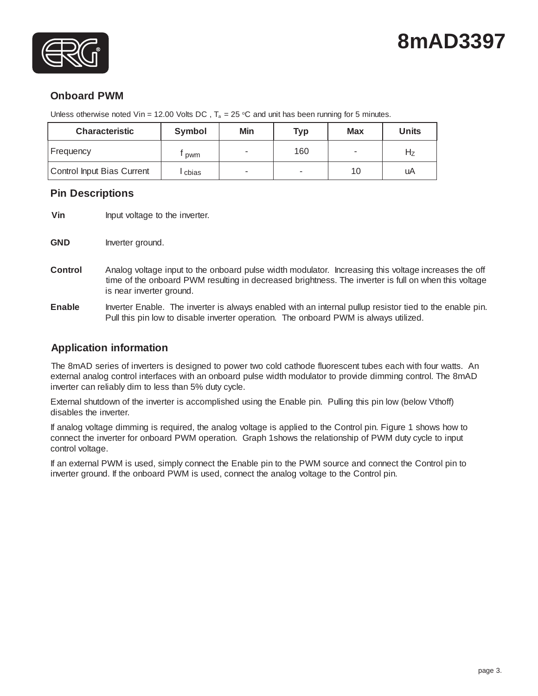# **8mAD3397**



## **Onboard PWM**

Unless otherwise noted Vin = 12.00 Volts DC,  $T_a = 25$  °C and unit has been running for 5 minutes.

| <b>Characteristic</b>      | Symbol | Min | <b>Typ</b> | <b>Max</b> | <b>Units</b> |
|----------------------------|--------|-----|------------|------------|--------------|
| Frequency                  | pwm    |     | 160        |            | Ηz           |
| Control Input Bias Current | cbias  |     | ۰          | 10         | uA           |

## **Pin Descriptions**

- **Vin** Input voltage to the inverter.
- GND Inverter ground.
- **Control** Analog voltage input to the onboard pulse width modulator. Increasing this voltage increases the off time of the onboard PWM resulting in decreased brightness. The inverter is full on when this voltage is near inverter ground.
- **Enable** Inverter Enable. The inverter is always enabled with an internal pullup resistor tied to the enable pin. Pull this pin low to disable inverter operation. The onboard PWM is always utilized.

### **Application information**

The 8mAD series of inverters is designed to power two cold cathode fluorescent tubes each with four watts. An external analog control interfaces with an onboard pulse width modulator to provide dimming control. The 8mAD inverter can reliably dim to less than 5% duty cycle.

External shutdown of the inverter is accomplished using the Enable pin. Pulling this pin low (below Vthoff) disables the inverter.

If analog voltage dimming is required, the analog voltage is applied to the Control pin. Figure 1 shows how to connect the inverter for onboard PWM operation. Graph 1shows the relationship of PWM duty cycle to input control voltage.

If an external PWM is used, simply connect the Enable pin to the PWM source and connect the Control pin to inverter ground. If the onboard PWM is used, connect the analog voltage to the Control pin.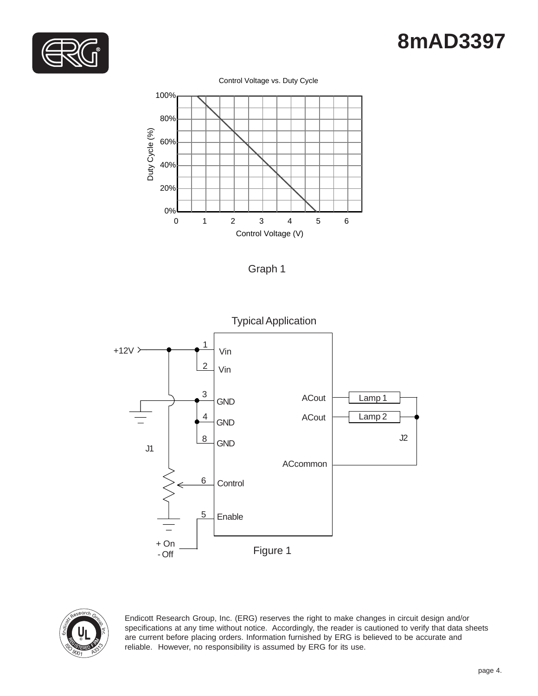# **8mAD3397**



#### Control Voltage vs. Duty Cycle









Endicott Research Group, Inc. (ERG) reserves the right to make changes in circuit design and/or specifications at any time without notice. Accordingly, the reader is cautioned to verify that data sheets are current before placing orders. Information furnished by ERG is believed to be accurate and reliable. However, no responsibility is assumed by ERG for its use.